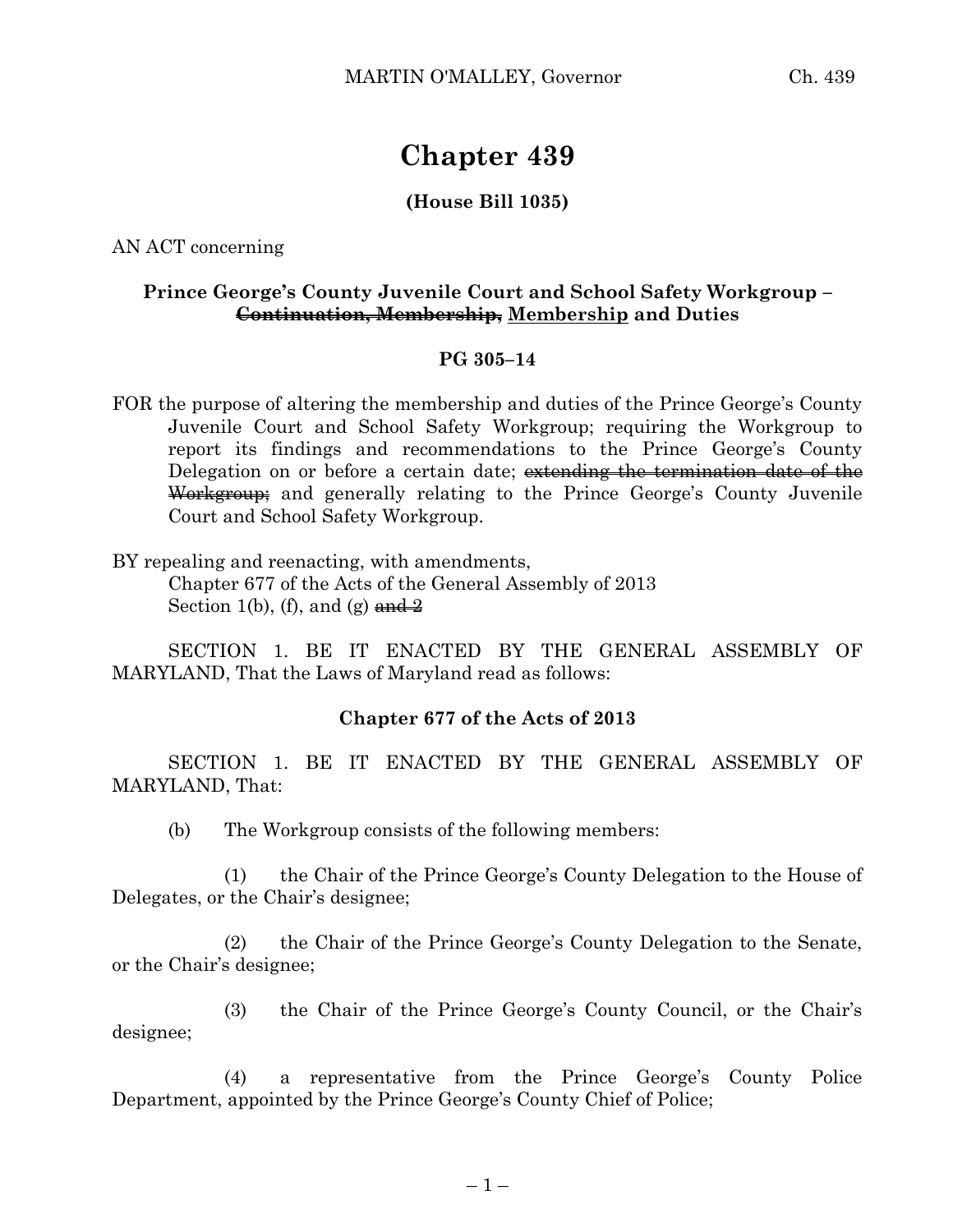# **Chapter 439**

## **(House Bill 1035)**

AN ACT concerning

### **Prince George's County Juvenile Court and School Safety Workgroup – Continuation, Membership, Membership and Duties**

#### **PG 305–14**

FOR the purpose of altering the membership and duties of the Prince George's County Juvenile Court and School Safety Workgroup; requiring the Workgroup to report its findings and recommendations to the Prince George's County Delegation on or before a certain date; extending the termination date of the Workgroup; and generally relating to the Prince George's County Juvenile Court and School Safety Workgroup.

BY repealing and reenacting, with amendments,

Chapter 677 of the Acts of the General Assembly of 2013 Section 1(b), (f), and (g)  $\frac{and 2}{?}$ 

SECTION 1. BE IT ENACTED BY THE GENERAL ASSEMBLY OF MARYLAND, That the Laws of Maryland read as follows:

### **Chapter 677 of the Acts of 2013**

SECTION 1. BE IT ENACTED BY THE GENERAL ASSEMBLY OF MARYLAND, That:

(b) The Workgroup consists of the following members:

(1) the Chair of the Prince George's County Delegation to the House of Delegates, or the Chair's designee;

(2) the Chair of the Prince George's County Delegation to the Senate, or the Chair's designee;

(3) the Chair of the Prince George's County Council, or the Chair's designee;

(4) a representative from the Prince George's County Police Department, appointed by the Prince George's County Chief of Police;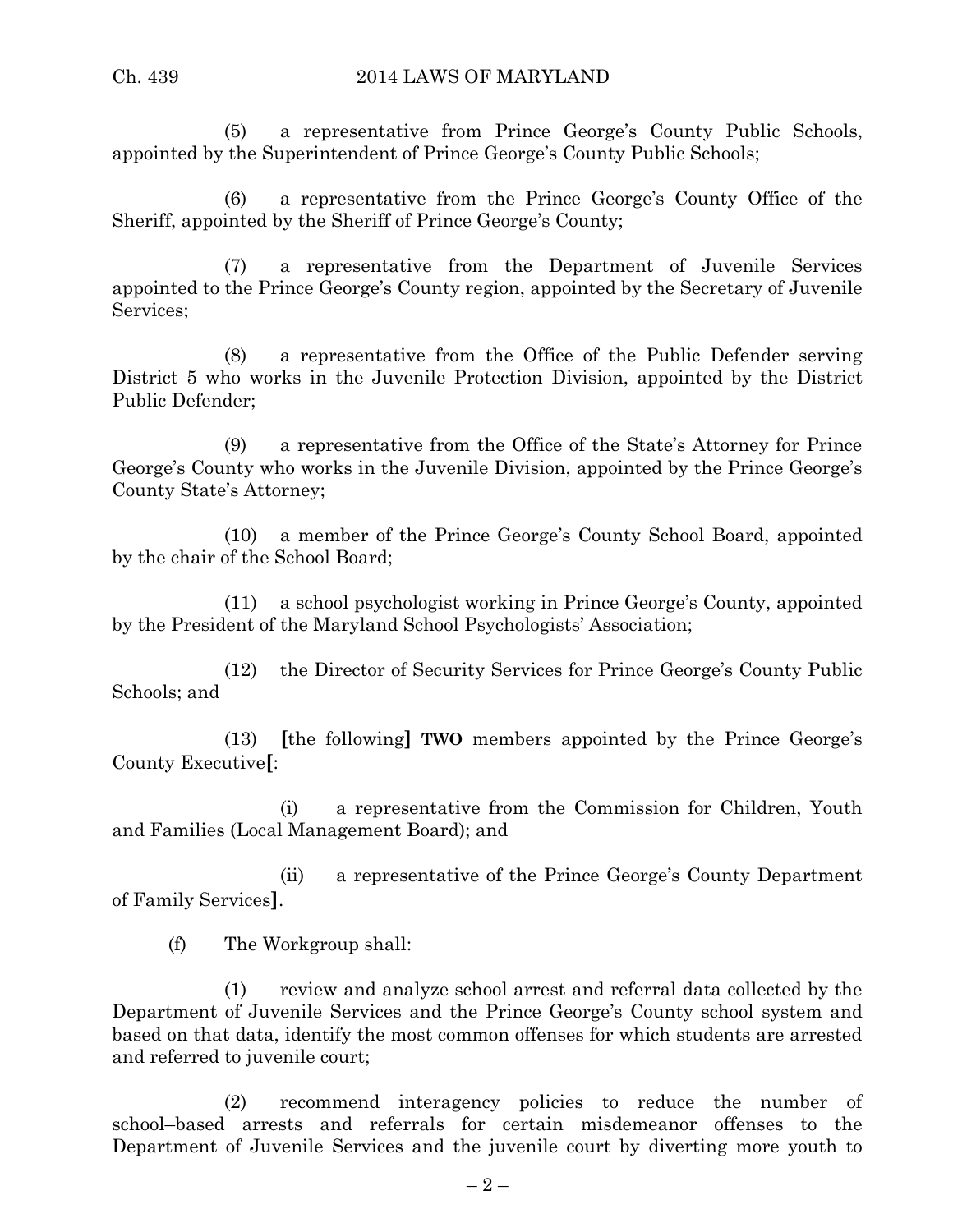(5) a representative from Prince George's County Public Schools, appointed by the Superintendent of Prince George's County Public Schools;

(6) a representative from the Prince George's County Office of the Sheriff, appointed by the Sheriff of Prince George's County;

(7) a representative from the Department of Juvenile Services appointed to the Prince George's County region, appointed by the Secretary of Juvenile Services;

(8) a representative from the Office of the Public Defender serving District 5 who works in the Juvenile Protection Division, appointed by the District Public Defender;

(9) a representative from the Office of the State's Attorney for Prince George's County who works in the Juvenile Division, appointed by the Prince George's County State's Attorney;

(10) a member of the Prince George's County School Board, appointed by the chair of the School Board;

(11) a school psychologist working in Prince George's County, appointed by the President of the Maryland School Psychologists' Association;

(12) the Director of Security Services for Prince George's County Public Schools; and

(13) **[**the following**] TWO** members appointed by the Prince George's County Executive**[**:

(i) a representative from the Commission for Children, Youth and Families (Local Management Board); and

(ii) a representative of the Prince George's County Department of Family Services**]**.

(f) The Workgroup shall:

(1) review and analyze school arrest and referral data collected by the Department of Juvenile Services and the Prince George's County school system and based on that data, identify the most common offenses for which students are arrested and referred to juvenile court;

(2) recommend interagency policies to reduce the number of school–based arrests and referrals for certain misdemeanor offenses to the Department of Juvenile Services and the juvenile court by diverting more youth to